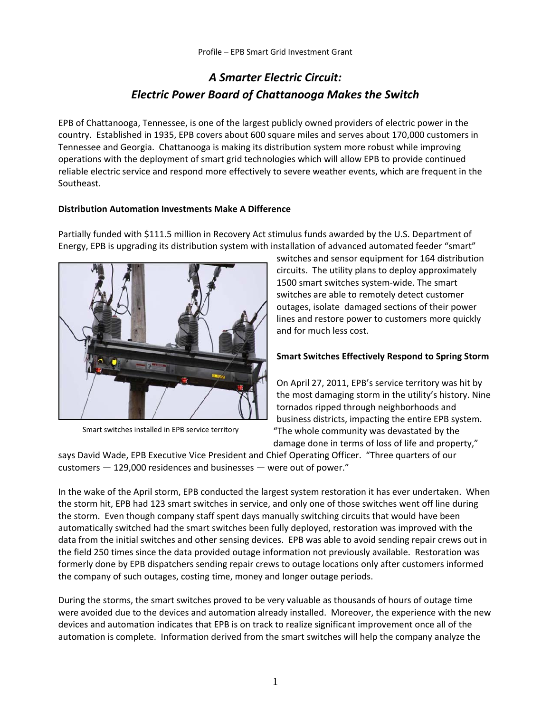## *A Smarter Electric Circuit: Electric Power Board of Chattanooga Makes the Switch*

EPB of Chattanooga, Tennessee, is one of the largest publicly owned providers of electric power in the country. Established in 1935, EPB covers about 600 square miles and serves about 170,000 customers in Tennessee and Georgia. Chattanooga is making its distribution system more robust while improving operations with the deployment of smart grid technologies which will allow EPB to provide continued reliable electric service and respond more effectively to severe weather events, which are frequent in the Southeast.

### **Distribution Automation Investments Make A Difference**

Partially funded with \$111.5 million in Recovery Act stimulus funds awarded by the U.S. Department of Energy, EPB is upgrading its distribution system with installation of advanced automated feeder "smart"



Smart switches installed in EPB service territory

switches and sensor equipment for 164 distribution circuits. The utility plans to deploy approximately 1500 smart switches system‐wide. The smart switches are able to remotely detect customer outages, isolate damaged sections of their power lines and restore power to customers more quickly and for much less cost.

#### **Smart Switches Effectively Respond to Spring Storm**

On April 27, 2011, EPB's service territory was hit by the most damaging storm in the utility's history. Nine tornados ripped through neighborhoods and business districts, impacting the entire EPB system. "The whole community was devastated by the damage done in terms of loss of life and property,"

says David Wade, EPB Executive Vice President and Chief Operating Officer. "Three quarters of our customers — 129,000 residences and businesses — were out of power."

In the wake of the April storm, EPB conducted the largest system restoration it has ever undertaken. When the storm hit, EPB had 123 smart switches in service, and only one of those switches went off line during the storm. Even though company staff spent days manually switching circuits that would have been automatically switched had the smart switches been fully deployed, restoration was improved with the data from the initial switches and other sensing devices. EPB was able to avoid sending repair crews out in the field 250 times since the data provided outage information not previously available. Restoration was formerly done by EPB dispatchers sending repair crews to outage locations only after customers informed the company of such outages, costing time, money and longer outage periods.

During the storms, the smart switches proved to be very valuable as thousands of hours of outage time were avoided due to the devices and automation already installed. Moreover, the experience with the new devices and automation indicates that EPB is on track to realize significant improvement once all of the automation is complete. Information derived from the smart switches will help the company analyze the